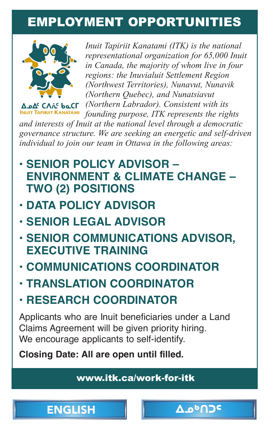## <span id="page-0-0"></span>EMPLOYMENT OPPORTUNITIES



*Inuit Tapiriit Kanatami (ITK) is the national representational organization for 65,000 Inuit in Canada, the majority of whom live in four regions: the Inuvialuit Settlement Region (Northwest Territories), Nunavut, Nunavik (Northern Quebec), and Nunatsiavut (Northern Labrador). Consistent with its founding purpose, ITK represents the rights* 

*and interests of Inuit at the national level through a democratic governance structure. We are seeking an energetic and self- driven individual to join our team in Ottawa in the following areas:*

- **• [SENIOR POLICY ADVISOR –](https://www.itk.ca/senior-policy-advisor-environment-and-climate-change-two-2-positions/) ENVIRONMENT & CLIMATE CHANGE – TWO (2) POSITIONS**
- **• [DATA POLICY](https://www.itk.ca/data-policy-advisor-2/) ADVISOR**
- **• [SENIOR LEGAL ADVISOR](https://www.itk.ca/senior-legal-advisor/)**
- **• [SENIOR COMMUNICATIONS ADVISOR,](https://www.itk.ca/senior-communications-advisor-executive-training/) EXECUTIVE TRAINING**
- **• [COMMUNICATIONS COORDINATOR](https://www.itk.ca/communications-coordinator/)**
- **• [TRANSLATION COORDINATOR](https://www.itk.ca/translation-coordinator/)**
- **• [RESEARCH COORDINATOR](https://www.itk.ca/research-coordinator/)**

Applicants who are Inuit beneficiaries under a Land Claims Agreement will be given priority hiring. We encourage applicants to self-identify.

**Closing Date: All are open until filled.**

[www.itk.ca/work-for-itk](https://www.itk.ca/work-for-itk)